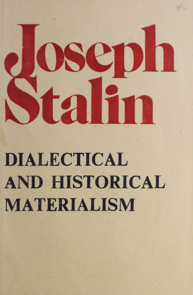

# **DIALECTICAL AND HISTORICAL MATERIALISM**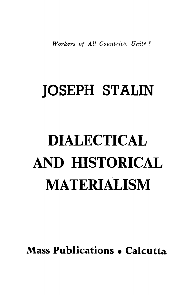*Workers of All Countries***,** *Unite !*

### JOSEPH STALIN

## **DIALECTICAL AND HISTORICAL MATERIALISM**

**Mass Publications • Calcutta**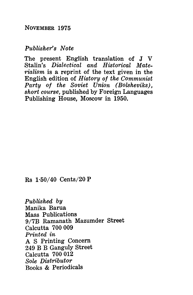**November 1975**

*Publisher's Note*

**The present English translation of J V Stalin's** *Dialectical and Historical Materialism* **is a reprint of the text given in the English edition of** *History of the Communist Party of the Soviet Union (Bolsheviks), short course***, published by Foreign Languages Publishing House, Moscow in 1950.**

**Rs 1-50/40 Cents/20 P**

*Published by* **Manika Barua Mass Publications 9/7B Ramanath Mazumder Street Calcutta 700 009** *Printed in* **A S Printing Concern 249 B B Ganguly Street Calcutta 700 012** *Sole Distributor* **Books & Periodicals**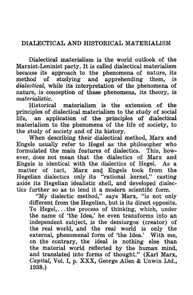#### **DIALECTICAL AND HISTORICAL MATERIALISM**

**Dialectical materialism is the world outlook of the Marxist-Leninist party. It is called dialectical materialism because its approach to the phenomena of nature, its method of studying and apprehending them, is** *dialectical,* **while its interpretation of the phenomena of nature, is conception of these phenomena, its theory, is** *materialistic.*

**Historical materialism is the extension of the principles of dialectical materialism to the study of social life, an application of the principles of dialectical materialism to the phenomena of the life of society, to the study of society and of its history.**

**When describing their dialectical method, Marx and Engels usually refer to Hegel as the philosopher who formulated the main features of dialectics. This, how-ever, does not mean that the dialectics of Marx and Engels is identical with the dialectics of Hegel. As a** Marx and Engels took from **Hegelian dialectics only its "rational kernel," casting aside its Hegelian idealistic shell, and developed dialectics further so as to lend it a modern scientific form.**

**"My dialectic method," says Marx, "is not only different from the Hegelian, but is its direct opposite. To Hegel,. . . the process of thinking, which, under the name of 'the Idea/ he even transforms into an independent subject, is the demiurgos (creator) of the real world, and the real world is only the external, phenomenal form of 'the Idea/ With me, on the contrary, the ideal is nothing else than the material world reflected by the human mind, and translated into forms of thought." (Karl Marx,** *Capital,* **Vol. I, p. XXX, George Allen & Unwin Ltd., 1938.)**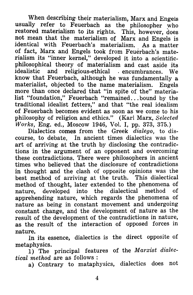**When describing' their materialism, Marx and Engels usually refer to Feuerbach as the philosopher who restored materialism to its rights. This, however, does not mean that the materialism of Marx and Engels is identical with Feuerbach's materialism. As a matter of fact, Marx and Engels took from Feuerbach's materialism its "inner kernel," developed it into a scientificphilosophical theory of materialism and cast aside its idealistic and religious-ethical . encumbrances. We know that Feuerbach, although he was fundamentally a materialist, objected to the name materialism. Engels more than once declared that "in spite of the" materialist "foundation," Feuerbach "remained. . . bound by the traditional idealist fetters," and that "the real idealism of Feuerbach becomes evident as soon as we come to his philosophy of religion and ethics." (Karl Marx,** *Selected Works***, Eng. ed., Moscow 1946, Vol. I, pp. 373, 375.)**

**Dialectics comes from the Greek** *dialego,* **to discourse, to debate. In ancient times dialectics was the art of arriving at the truth by disclosing the contradictions in the argument of an opponent and overcoming these contradictions. There were philosophers in ancient times who believed that the disclosure of contradictions in thought and the clash of opposite opinions was the best method of arriving at the truth. This dialectical method of thought, later extended to the phenomena of nature, developed into the dialectical method of apprehending nature, which regards the phenomena of nature as being in constant movement and undergoing constant change, and the development of nature as the result of the development of the contradictions in nature, as the result of the interaction of opposed forces in nature.**

**In its essence, dialectics is the direct opposite of metaphysics.**

**1) The principal features of the** *Marxist dialectical method* **are as follows :**

**a) Contrary to mataphysics, dialectics does not**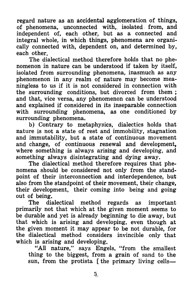**regard nature as an accidental agglomeration of things,** of phenomena, unconnected with, isolated from, and **independent of, each other, but as a connected and integral whole, in which things, phenomena are organically connected with, dependent on, and determined by, each other.**

**The dialectical method therefore holds that no phenomenon in nature can be understood if taken by itself, isolated from surrounding phenomena, inasmuch as any phenomenon in any realm of nature may become meaningless to us if it is not considered in connection with the surrounding conditions, but divorced from them ; and that, vice versa, any phenomenon can be understood and explained if considered in its inseparable connection with surrounding phenomena, as one conditioned by surrounding phenomena.**

**b) Contrary to metaphysics, dialectics holds that nature is not a state of rest and immobility, stagnation and immutability, but a state of continuous movement and change, of continuous renewal and development, where something is always arising and developing, and something always disintegrating and dying away.**

**The dialectical method therefore requires that phenomena should be considered not only from the standpoint of their interconnection and interdependence, but also from the standpoint of their movement, their change, their development, their coming into being and going out of being.**

**The dialectical method regards as important primarily not that which at the given moment seems to be durable and yet is already beginning to die away, but that which is arising and developing, even though at the given moment it may appear to be not durable, for the dialectical method considers invincible only that which is arising and developing.**

**"All nature," says Engels, "from the smallest thing to the biggest, from a grain of sand to the sun, from the protista [the primary living cells—**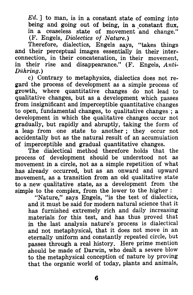*Ed.* **] to man, is in a constant state of coming into being and going out of being, in a constant flux, in a ceaseless state of movement and change." (F. Engels,** *Dialectics of Nature.)*

**Therefore, dialectics, Engels says, "takes things and their perceptual images essentially in their interconnection, in their concatenation, in their movement,** in their rise and disappearance." (F. Engels, Anti-*Duhring.)*

*c)* **Contrary to metaphysics, dialectics does not regard the process of development as a simple process of growth, where quantitative changes do not lead to qualitative changes, but as a development which passes from insignificant and imperceptible quantitative changes to open, fundamental changes, to qualitative changes ; a development in which the qualitative changes occur not gradually, but rapidly and abruptly, taking the form of a leap from one state to another ; they occur not accidentally but as the natural result of an accumulation of imperceptible and gradual quantitative changes.**

**The dialectical method therefore holds that the process of development should be understood not as movement in a circle, not as a simple repetition of what has already occurred, but as an onward and upward movement, as a transition from an old qualitative state to a new qualitative state, as a development from the simple to the complex, from the lower to the higher :**

**"Nature," says Engels, "is the test of dialectics, and it must be said for modern natural science that it has furnished extremely rich and daily increasing materials for this test, and has thus proved that in the last analysis nature's process is dialectical and not metaphysical, that it does not move in an eternally uniform and constantly repeated circle, but passes through a real history. Here prime mention should be made of Darwin, who dealt a severe blow to the metaphysical conception of nature by proving that the organic world of today, plants and animals,**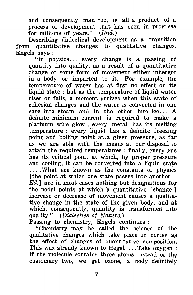**and consequently man too, is all a product of a process of development that has been in progress for millions of years."** *(Ibid.)*

**Describing dialectical development as a transition from quantitative changes to qualitative changes, Engels says :**

**"In physics. . . every change is a passing of quantity into quality, as a result of a quantitative change of some form of movement either inherent in a body or imparted to it. For example, the temperature of water has at first no effect on its liquid state ; but as the temperature of liquid water rises or falls, a moment arrives when this state of cohesion changes and the water is converted in one case into steam and in the other into ice. . . . A definite minimum current is required to make a platinum wire glow ; every metal has its melting temperature ; every liquid has a definite freezing point and boiling point at-a given pressure, as far as we are able with the means at our disposal to attain the required temperatures ; finally, every gas has its critical point at which, by proper pressure and cooling, it can be converted into a liquid state** ....What are known as the constants of physics **[the point at which one state passes into another^** *Ed.]* **are in most cases nothing but designations for the nodal points at which a quantitative [change,] increase or decrease of movement causes a qualitative change in the state of the given body, and at which, consequently, quantity is transformed into quality."** *(Dialectics of Nature.)*

**Passing to chemistry, Engels continues :**

**"Chemistry may be called the science of the qualitative changes which take place in bodies ap the effect of changes of quantitative composition.** This was already known to Hegel....Take oxygen: **if the molecule contains three atoms instead of the customary two, we get ozone, a body definitely**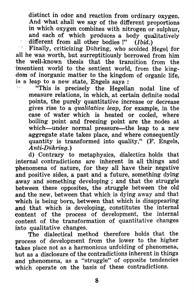**distinct in odor and reaction from ordinary oxygen. And what shall we say of the different proportions in which oxygen combines with nitrogen or sulphur, and each of which produces a body qualitatively different from all other bodies !"** *(Ibid.)*

**Finally, criticizing Diihring, who scolded Hegel for all he was worth, but surreptitiously borrowed from him the well-known thesis that the transition from the insentient world to the sentient world, from the kingdom of inorganic matter to the kingdom of organic life, is a leap to a new state, Engels says :**

**"This is precisely the Hegelian nodal line of measure relations, in which, at certain definite nodal points, the purely quantitative increase or decrease gives rise to a** *qualitative leap***, for example, in the case of water which is heated or cooled, where boiling point and freezing point are the nodes at which—under normal pressure—the leap to a new aggregate state takes place, and where consequently quantity is transformed into quality." (F. Engels,** *Anti-Diihring.)*

**d) Contrary to metaphysics, dialectics holds that internal contradictions are inherent in all things and phenomena of nature, for they all have their negative and positive sides, a past and a future, something dying away and something developing ; and that the struggle between these opposites, the struggle between the old and the new, between that which is dying away and that which is being bom, between that which is disappearing and that which is developing, constitutes the internal content of the process of development, the internal content of the transformation of quantitative changes into qualitative changes.**

**The dialectical method therefore holds that the process of development from the lower to the higher takes place not as a harmonious unfolding of phenomena, but as a disclosure of the contradictions inherent in things and phenomena, as a "struggle" of opposite tendencies which operate on the basis of these contradictions.**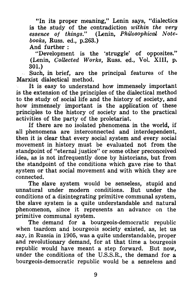**"In its proper meaning," Lenin says, "dialectics is the study of the contradiction** *within the very essence of things***." (Lenin,** *Philosophical Notebooks,* **Russ, ed., p.263.)**

**And further :**

**"Development is the 'struggle' of opposites." (Lenin,** *Collected Works,* **Russ, ed., Vol. XIII, p. 301.)**

**Such, in brief, are the principal features of the Marxist dialectical method.**

**It is easy to understand how immensely important is the extension of the principles of the dialectical method to the study of social life and the history of society, and how immensely important is the application of these principles to the history of society and to the practical activities of the party of the proletariat.**

**If there are no isolated phenomena in the world, if all phenomena are interconnected and interdependent, then it is clear that every social system and every social movement in history must be evaluated not from the standpoint of "eternal justice" or some other preconceived idea, as is not infrequently done by historians, but from the standpoint of the conditions which gave rise to that system or that social movement and with which they are connected.**

**The slave system would be senseless, stupid and unnatural under modern conditions. But under the conditions of a disintegrating primitive communal system, the slave system is a quite understandable and natural phenomenon, since it represents an advance on the primitive communal system.**

**The demand for a bourgeois-democratic republic when tsardom and bourgeois society existed, as, let us say, in Russia in 1905, was a quite understandable, proper and revolutionary demand, for at that time a bourgeois republic would have meant a step forward. But now, under the conditions of the U.S.S.R., the demand for a bourgeois-democratic republic would be a senseless and**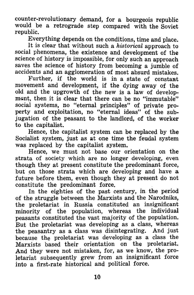**counter-revolutionary demand, for a bourgeois republic would be a retrograde step compared with the Soviet republic.**

**Everything depends on the conditions, time and place.**

**It is clear that without such a** *historical* **approach to social phenomena, the existence and development of the science of history is impossible, for only such an approach saves the science of history from becoming a jumble of accidents and an agglomeration of most absurd mistakes.**

**Further, if the world is in a state of constant movement and development, if the dying away of the old and the upgrowth of the new is a law of development, then it is clear that there can be no "immutable" social systems, no "eternal principles" of private property and exploitation, no "eternal ideas" of the subjugation of the peasant to the landlord, of the worker to the capitalist.**

**Hence, the capitalist system can be replaced by the Socialist system, just as at one time the feudal system was replaced by the capitalist system.**

**Hence, we must not base our orientation on the strata of society which are no longer developing, even though they at present constitute the predominant force, but on those strata which are developing and have a future before them, even though they at present do not constitute the predominant force.**

**In the eighties of the past century, in the period of the struggle between the Marxists and the Narodniks, the proletariat in Russia constituted an insignificant minority of the population, whereas the individual peasants constituted the vast majority of the population. But the proletariat was developing as a class, whereas the peasantry as a class was disintegrating. And just because the proletariat was developing as a class the Marxists based their orientation on the proletariat. And they were not mistaken, for, as we know, the proletariat subsequently grew from an insignificant force into a first-rate historical and political force.**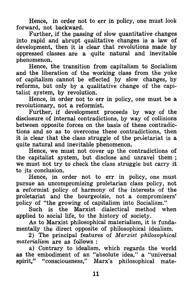**Hence, in order not to err in policy, one must look forward, not backward.**

**Further, if the passing of slow quantitative changes into rapid and abrupt qualitative changes is a law of development, then it is clear that revolutions made by oppressed classes are a quite natural and inevitable phenomenon.**

**Hence, the transition from capitalism to Socialism and the liberation of the working class from the yoke of capitalism cannot be effected by slow changes, by reforms, but only by a qualitative change of the capitalist system, by revolution.**

**Hence, in order not to err in policy, one must be a revolutionary, not a reformist.**

**Further, if development proceeds by way of the disclosure of internal contradictions, by way of collisions between opposite forces on the basis of these contradictions and so as to overcome these contradictions, then it is clear that the class struggle of the proletariat is a quite natural and inevitable phenomenon.**

**Hence, we must not cover up the contradictions of the capitalist system, but disclose and unravel them ; we must not try to check the class struggle but carry it to its conclusion.**

**Hence, in order not to err in policy, one must pursue an uncompromising proletarian class policy, not a reformist policy of harmony of the interests of the proletariat and the bourgeoisie, not a compromisers' policy of "the growing of capitalism into Socialism."**

**Such is the Marxist dialectical method when applied to social life, to the history of society.**

**As to Marxist philosophical materialism, it is fundamentally the direct opposite of philosophical idealism.**

**2) The principal features of** *Marxist philosophical materialism* **are as follows :**

**a) Contrary to idealism, which regards the world as the embodiment of an "absolute idea," a "universal spirit," "consciousness," Marx's philosophical mate-**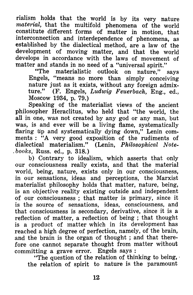**rialism holds that the world is by its very nature** *material,* **that the multifold phenomena of the world constitute different forms of matter in motion, that interconnection and interdependence of phenomena, as established by the dialectical method, are a law of the development of moving matter, and that the world develops in accordance with the laws of movement of matter and stands in no need of a "universal spirit."**

**"The materialistic outlook on nature," says Engels, "means no more than simply conceiving nature just as it exists, without any foreign admixture." (F. Engels,** *Ludwig Feuerbach,* **Eng., ed., Moscow 1934, p. 79.)**

**Speaking of the materialist views of the ancient philosopher Heraclitus, who held that "the world, the all in one, was not created by any god or any man, but was, is and ever will be a living flame, systematically** flaring up and systematically dying down," Lenin com**ments : "A very good exposition of the rudiments of dialectical materialism." (Lenin,** *Philosophical Notebooks,* **Russ, ed., p. 318.)**

**b) Contrary to idealism, which asserts that only our consciousness really exists, and that the material world, being, nature, exists only in our consciousness, in our sensations, ideas and perceptions, the Marxist materialist philosophy holds that matter, nature, being, is an objective reality existing outside and independent of our consciousness ; that matter is primary, since it is the source of sensations, ideas, consciousness, and that consciousness is secondary, derivative, since it is a reflection of matter, a reflection of being ; that thought is a product of matter which in its development has reached a high degree of perfection, namely, of the brain, and the brain is the organ of thought ; and that therefore one cannot separate thought from matter without committing a grave error. Engels says :**

**"The question of the relation of thinking to being, • the relation of spirit to nature is the paramount**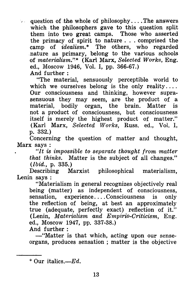**question of the whole of philosophy... .The answers which the philosophers gave to this question split them into two great camps. Those who asserted the primacy of spirit to nature . . . comprised the camp of** *idealism***.\* The others, who regarded nature as primary, belong to the various schools** of *materialism.*"\* (Karl Marx, *Selected Works*, Eng. **ed., Moscow 1946, Vol. I, pp. 366-67.) And further :**

**"The material, sensuously perceptible world to which we ourselves belong is the only reality. . . . Our consciousness and thinking, however suprasensuous they may seem, are the product of a material, bodily organ, the brain. Matter is not a product of consciousness, but consciousness itself is merely the highest product of matter." (Karl Marx,** *Selected Works,* **Russ, ed., Vol. I, p. 332.)**

**Concerning the question of matter and thought, Marx says :**

*"It is impossible to separate thought from matter that thinks.* **Matter is the subject of all changes."** *{Ibid.,* **p. 335.)**

**Describing Marxist philosophical materialism, Lenin says :**

**"Materialism in general recognizes objectively real being (matter) as independent of consciousness,** sensation, experience....Consciousness is **the reflection of being, at best an approximately true (adequate, perfectly exact) reflection of it." (Lenin,** *Materialism and Empirio-Criticism,* **Eng. ed., Moscow 1947, pp. 337-38.)**

**And further :**

**—"Matter is that which, acting upon our senseorgans, produces sensation ; matter is the objective**

**<sup>\*</sup> Our italics.—***Ed.*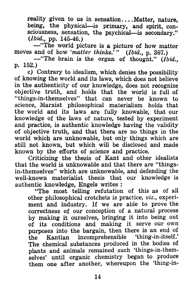reality given to us in sensation....Matter, nature, **being, the physical—is primary, and spirit, consciousness, sensation, the psychical—is secondary."** *(Ibid.,* **pp. 145-46.)**

**— "The world picture is a picture of how matter** moves and of how 'matter thinks.'" (Ibid., p. 367.)

**— "The brain is the organ of thought."** *(Ibid.,* **p. 152.)**

**c) Contrary to idealism, which denies the possibility of knowing the world and its laws, which does not believe in the authenticity of our knowledge, does not recognize objective truth, and holds that the world is full of "things-in-themselves" that can never be known to science, Marxist philosophical materialism holds that the world and its laws are fully knowable, that our knowledge of the laws of nature, tested by experiment and practice, is authentic knowledge having the validity of objective truth, and that there are no things in the world which are unknowable, but only things which are still not known, but which will be disclosed and made known by the eiforts of science and practice.**

**Criticizing the thesis of Kant and other idealists that the world is unknowable and that there are "thingsin-themselves" which are unknowable, and defending the well-known materialist thesis that our knowledge is authentic knowledge, Engels writes :**

**"The most telling refutation of this as of all other philosophical crotchets is practice,** *viz.,* **experiment and industry. If we are able to prove the correctness of our conception of a natural process by making it ourselves, bringing it into being out of its conditions and making it serve our own purposes into the bargain, then there is an end of the Kantian incomprehensible 'thing-in-itself.' The chemical substances produced in the bodies of plants and animals remained such 'things-in-themselves' until organic chemistry began to produce them one after another, whereupon the 'thing-in-**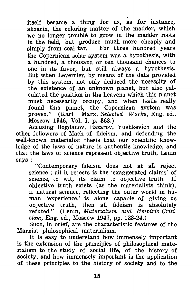**itself became a thing for us, as for instance, alizarin, the coloring matter of the madder, which we no longer trouble to grow in the madder roots in the field, but produce much more cheaply and simply from coal tar. For three hundred years the Copemican solar system was a hypothesis, with a hundred, a thousand or ten thousand chances to one in its favor, but still always a hypothesis. But when Leverrier, by means of the data provided by this system, not only deduced the necessity of the existence of an unknown planet, but also calculated the position in the heavens which this planet must necessarily occupy, and when Galle really found this planet, the Copernican system was proved." (Karl Marx,** *Selected Works,* **Eng. ed., Moscow 1946, Vol. I, p. 368.)**

**Accusing Bogdanov, Bazarov, Yushkevich and the other followers of Mach of fideism, and defending the** well-known materialist thesis that our scientific know**ledge of the laws of nature is authentic knowledge, and that the laws of science represent objective truth, Lenin says :**

**"Contemporary fideism does not at all reject science ; all it rejects is the 'exaggerated claims' of science, to wit, its claim to objective truth. If objective truth exists (as the materialists think), if natural science, reflecting the outer world in human 'experience,' is alone capable of giving us objective truth, then all fideism is absolutely refuted." (Lenin,** *Materialism and Empirio-Criticism,* **Eng. ed., Moscow 1947, pp. 123-24.)**

**Such, in brief, are the characteristic features of the Marxist philosophical materialism.**

**It is easy to understand how immensely important is the extension of the principles of philosophical materialism to the study of social life, of the history of society, and how immensely important is the application of these principles to the history of society and to the**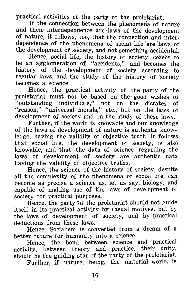**practical activities of the party of the proletariat.**

**If the connection between the phenomena of nature and their interdependence are-laws of the development of nature, it follows, too, that the connection and interdependence of the phenomena of social life are laws of the development of society, and not something accidental.**

**Hence, social life, the history of society, ceases to be an agglomeration of "accidents/' and becomes the history of the development of society according to regular laws, and the study of the history of society becomes a science.**

**Hence, the practical activity of the party of the proletariat must not be based on the good wishes of "outstanding individuals," not on the dictates of "reason," "universal morals," etc., but on the laws of development of society and on the study of these laws.**

**Further, if the world is knowable and our knowledge of the laws of development of nature is authentic knowledge, having the validity of objective truth, it follows that social life, the development of society, is also knowable, and that the data of science regarding the laws of development of society are authentic data having the validity of objective truths.**

**Hence, the science of the history of society, despite all the complexity of the phenomena of social life, can become as precise a science as, let us say, biology, and capable of making use of the laws of development of society for practical purposes.**

Hence, the party of the proletariat should not guide **itself in its practical activity by casual motives, but by the laws of development of society, and by practical deductions from these laws.**

**Hence, Socialism is converted from a dream of a better future for humanity into a science.**

**Hence, the bond between science and practical activity, between theory and practice, their unity, should be the guiding star of the party of the proletariat.**

**Further, if nature, being, the material world, is**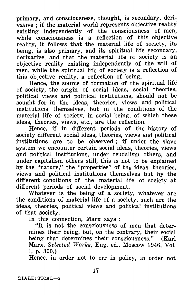**primary, and consciousness, thought, is secondary, derivative ; if the material world represents objective reality existing independently of the consciousness of men, while consciousness is a reflection of this objective reality, it follows that the material life of society, its being, is also primary, and its spiritual life secondary, derivative, and that the material life of society is an objective reality existing independently of the will of men, while the spiritual life of society is a reflection of this objective reality, a reflection of being.**

**Hence, the source of formation of the spiritual life of society, the origin of social ideas, social theories, political views and political institutions, should not be sought for in the ideas, theories, views and politicaL institutions themselves, but in the conditions of the material life of society, in social being, of which these ideas, theories, views, etc., are the reflection.**

**Hence, if in different periods of the history of society different social ideas, theories, views and political institutions are to be observed ; if under the slave system we encounter certain social ideas, theories, views and political institutions, under feudalism others, and under capitalism others still, this is not to be explained by the "nature," the "properties" of the ideas, theories, views and political institutions themselves but by the different conditions of the material life of society at different periods of social development.**

**Whatever is the being of a society, whatever are the conditions of material life of a society, such are the ideas, theories, political views and political institutions of that society.**

**In this connection, Marx says :**

**"It is not the consciousness of men that determines their being, but, on the contrary, their social being that determines their consciousness." (Karl Marx,** *Selected Works,* **Eng. ed., Moscow 1946, Vol. I, p. 300.)**

**Hence, in order not to err in policy, in order not**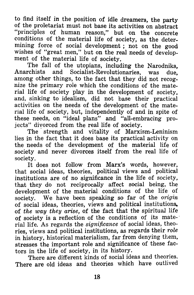**to find itself in the position of idle dreamers, the party of the proletariat must not base its activities on abstract "principles of human reason," but on the concrete conditions of the material life of society, as the determining force of social development ; not on the good wishes of "great men," but on the real needs of development of the material life of society.**

**The fall of the Utopians, including the Narodniks,** Anarchists and Socialist-Revolutionaries. **among other things, to the fact that they did not recognize the primary role which the conditions of the material life of society play in the development of society, and, sinking to idealism, did not base their practical activities on the needs of the development of the material life of society, but, independently of and in spite of these needs, on "ideal plans" and "all-embracing projects" diyorced from the real life of society.**

**The strength and vitality of Marxism-Leninism lies in the fact that it does base its practical activity on the needs of the development of the material life of society and never divorces itself from the real life of society.**

**It does not follow from Marx's words, however, that social ideas, theories, political views and political institutions are of no significance in the life of society, that they do not reciprocally affect social being, the development of the material conditions of the life of society. We have been speaking so far of the** *origin* **of social ideas, theories, views and political institutions, of** *the ivay they arise,* **of the fact that the spiritual life of society is a reflection of the conditions of its material life. As regards the** *significance* **of social ideas, theories, views and political institutions, as regards their** *role* **in history, historical materialism, far from denying them, stresses the important role and significance of these factors in the life of society, in its history.**

**There are different kinds of social ideas and theories. There are old ideas and theories which have outlived**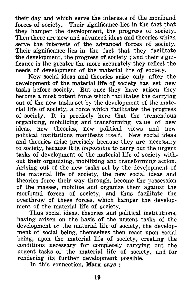**their day and which serve the interests of the moribund forces of society. Their significance lies in the fact that they hamper the development, the progress of society. Then there are new and advanced ideas and theories which serve the interests of the advanced forces of society. Their significance lies in the fact that they facilitate the development, the progress of society ; and their significance is the greater the more accurately they reflect the needs of development of the material life of society.**

**New social ideas and theories arise only after the development of the material life of society has set new tasks before society. But once they have arisen they become a most potent force which facilitates the carrying out of the new tasks set by the development of the material life of society, a force which facilitates the progress of society. It is precisely here that the tremendous organizing, mobilizing and transforming value of new** ideas, new theories, new political views and **political institutions manifests itself. New social ideas and theories arise precisely because they are necessary to society, because it is** *impossible* **to carry out the urgent tasks of development of the material life of society without their organizing, mobilizing and transforming action. Arising out of the new tasks set by the development of the material life of society, the new social ideas and theories force their way through, become the possession of the masses, mobilize and organize them against the moribund forces of society, and thus facilitate the overthrow of these forces, which hamper the development of the material life of society.**

**Thus social ideas, theories and political institutions, having arisen on the basis of the urgent tasks of the development of the material life of society, the development of social being, themselves then react upon social being, upon the material life of society, creating the conditions necessary for completely carrying out the urgent tasks of the material life of society, and for rendering its further development possible.**

**In this connection, Marx says :**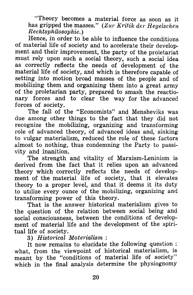**"Theory becomes a material force as soon as it** has gripped the masses." (Zur Kritik der Hegelschen *Rechtsphilosophie***.)**

**Hence, in order to be able to influence the conditions of material life of society and to accelerate their development and their improvement, the party of the proletariat must rely upon such a social theory, such a social idea as correctly reflects the needs of development of the material life of society, and which is therefore capable of setting into motion broad masses of the people and of mobilizing them and organizing them into a great army of the proletarian party, prepared to smash the reactionary forces and to clear the way for the advanced forces of society.**

**The fall of the "Economists" and Mensheviks was due among other things to the fact that they did not recognize the mobilizing, organizing and transforming role of advanced theory, of advanced ideas and, sinking to vulgar materialism, reduced the role of these factors almost to nothing, thus condemning the Party to passivity and inanition.**

**The strength and vitality of Marxism-Leninism is derived from the fact that it relies upon an advanced theory which correctly reflects the needs of development of the material life of society, that it elevates theory to a proper level, and that it deems it its duty to utilize every ounce of the mobilizing, organizing and transforming power of this theory.**

**That is the answer historical materialism gives to the question of the relation between social being and social consciousness, between the conditions of development of material life and the development of the spiritual life of society.**

**3)** *Historical Materialism* **:**

**It now remains to elucidate the following question : what, from the viewpoint of historical materialism, is meant by the "conditions of material life of society" which in the final analysis determine the physiognomy**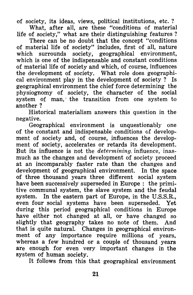**of society, its ideas, views, political institutions, etc. ? What, after all, are these "conditions of material**

**life of society," what are their distinguishing features ?**

**There can be no doubt that the concept "conditions of material life of society" includes, first of all, nature which surrounds society, geographical environment, which is one of the indispensable and constant conditions of material life of society and which, of course, influences the development of society. What role does geographical environment play in the development of society ? Is geographical environment the chief force determining the physiognomy of society, the character of the social system of man,' the transition from one system to another ?**

**Historical materialism answers this question in the negative.**

**Geographical environment is unquestionably one of the constant and indispensable conditions of develop**ment of society and, of course, influences the develop**ment of society, accelerates or retards its development.** But its influence is not the *determining* influence, inas**much as the changes and development of society proceed at an incomparably faster rate than the changes and development of geographical environment. In the space of three thousand years three different social system have been successively superseded in Europe : the primitive communal system, the slave system and the feudal system. In the eastern part of Europe, in the U.S.S.R., even four social systems have been superseded. Yet during this period geographical conditions in Europe have either not changed at all, or have changed so slightly that geography takes no note of them. And that is quite natural. Changes in geographical environment of any importance require millions of years, whereas a few hundred or a couple of thousand years are enough for even very important changes in the system of human society.**

**It follows from this that geographical environment**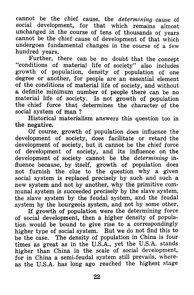**cannot be the chief cause, the** *determining* **cause of social development, for that which remains almost unchanged in the course of tens of thousands of years cannot be the chief cause of development of that which undergoes fundamental changes in the course of a few hundred years.**

**Further, there can be no doubt that the concept "conditions of material life of society" also includes growth of population, density of population of one degree or another, for people are an essential element of the conditions of material life of society, and without a definite minimum number of people there can be no material life of society. Is not growth of population the chief force that determines the character of the social system of man ?**

**Historical materialism answers this question too in the negative.**

**Of course, growth of population does influence the development of society, does facilitate or retard the development of society, but it cannot be the chief force of development of society, and its influence on the development of society cannot be the** *determining* **influence because, by itself, growth of population does not furnish the clue to the question why a given social system is replaced precisely by such and such a new system and not by another, why the primitive communal system is succeeded precisely by the slave system, the slave system by the feudal system, and the feudal system by the bourgeois system, and not by some other.**

**If growth of population were the determining force of social development, then a higher density of population would be bound to give rise to a correspondingly higher type of social system. But we do not find this to be the case. The density of population in China is four times as great as in the U.S.A., yet the U.S.A. stands higher than China in the scale of social development, for in China a semi-feudal system still prevails, whereas the U.S.A. has long ago reached the highest stage**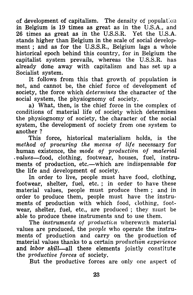**of development of capitalism. The density of population in Belgium is 19 times as great as in the U.S.A., and 26 times as great as in the U.S.S.R. Yet the U.S.A. stands higher than Belgium in the scale of social development ; and as for the U.S.S.R., Belgium lags a whole historical epoch behind this country, for in Belgium the capitalist system prevails, whereas the U.S.S.R. has already done away with capitalism and has set up a Socialist system.**

**It follows from this that growth of population is not, and cannot be, the chief force of development of society, the force which** *determines* **the character of the social system, the physiognomy of society.**

**a) What, then, is the chief force in the complex of conditions of material life of society which determines the physiognomy of society, the character of the social system, the development of society from one system to another ?**

**This force, historical materialism holds, is the** *method of procuring the means of life* **necessary for human existence, the** *mode of production of material .values***—food, clothing, footwear, houses, fuel, instruments of production, etc.—which are indispensable for the life and development of society.**

**In order to live, people must have food, clothing, footwear, shelter, fuel, etc. ; in order to have these material values, people must produce them ; and in order to produce them, people must have the instruments of production with which food, clothing, footwear, shelter, fuel, etc., are produced ; they must be able to produce these instruments and to use them.**

**The** *instruments of production* **wherewith material** values are produced, the *people* who operate the instru**ments of production and carry on the production of material values thanks to a certain** *production experience* **and** *labor skill***—all these elements jointly constitute the** *productive forces* **of society.**

**But the productive forces are only one aspect of**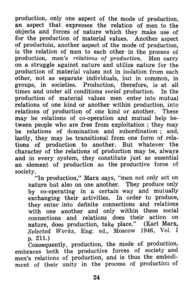**production, only one aspect of the mode of production, an aspect that expresses the relation of men to the objects and forces of nature which they make use of for the production of material values. Another aspect of productoin, another aspect of the mode of production, is the relation of men to each other in the process of production, men's** *relations of production.* **Men carry on a struggle against nature and utilize nature for the production of material values not in isolation from each other, not as separate individuals, but in common, in groups, in societies. Production, therefore, is at all times and under all conditions** *social* **production. In the production of material values men enter into mutual relations of one kind or another within production, into relations of production of one kind or another. These may be relations of co-operation and mutual help between people who are free from exploitation ; they may be relations of domination and subordination ; and, lastly, they may be transitional from one form of relations of production to another. But whatever the character of the relations of production may be, always and in every system, they constitute just as essential an element of production as the productive force of society.**

**"In production," Marx says, "men not only act on nature but also on one another. They produce only by co-operating in a certain way and mutually exchanging their activities. In order to produce, they enter into definite connections and relations with one another and only within these social connections and relations does their action on nature, does production, take place." (Karl Marx,** *Selected Works,* **Eng. ed., Moscow 1946, Vol. I p. 211.)**

**Consequently, production, the mode of production, embraces both the productive forces of society and men's relations of production, and is thus the embodiment of their unity in the process of production of**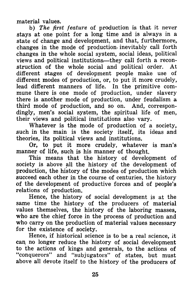**material values.**

**b)** *The first feature* **of production is that it never stays at one point for a long time and is always in a state of change and development, and that, furthermore,** changes in the mode of production inevitably call forth **changes in the whole social system, social ideas, political views and political institutions—they call forth a reconstruction of the whole social and political order. At different stages of development people make use of different modes of production, or, to put it more crudely, lead different manners of life. In the primitive commune there is one mode of production, under slavery there is another mode of production, under feudalism a third mode of production, and so on. And, correspondingly, men's social system, the spiritual life of men, their views and political institutions also vary.**

**Whatever is the mode of production of a society, such in the main is the society itself, its ideas and theories, its political views and institutions.**

**Or, to put it more crudely, whatever is man's manner of life, such is his manner of thought.**

**This means that the history of development of society is above all the history of the development of production, the history of the modes of production which succeed each other in the course of centuries, the history of the development of productive forces and of people's relations of production.**

**Hence, the history of social development is at the same time the history of the producers of material values themselves, the history of the laboring masses, who are the chief force in the process of production and who carry on the production of material values necessary for the existence of society.**

**Hence, if historical science is to be a real science, it cap no longer reduce the history of social development to the actions of kings and generals, to the actions of "conquerors" and "subjugators" of states, but must above all devote itself to the history of the producers of**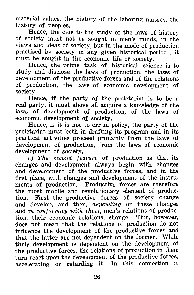**material values, the history of the laboring masses, the history of peoples.**

**Hence, the clue to the study of the laws of history of society must not be sought in men's minds, in the views and ideas of society, but in the mode of production practised by society in any given historical period ; it must be sought in the economic life of society.**

**Hence, the prime task of historical science is to study and disclose the laws of production, the laws of development of the productive forces and of the relations of production, the laws of economic development of society.**

**Hence, if the party of the proletariat is to be a real party, it must above all acquire a knowledge of the laws of development of production, of the laws of economic development of society.**

**Hence, if it is not to err in policy, the party of the proletariat must both in drafting its program and in its practical activities proceed primarily from the laws of development of production, from the laws of economic development of society.**

**c)** *The second feature* **of production is that its changes and development always begin with changes and development of the productive forces, and in the first place, with changes and development of the instruments of production. Productive forces are therefore the most mobile and revolutionary element of production. First the productive forces of society change and develop, and then,** *depending* **on these changes and** *in conformity with them,* **men's relations of production, their economic relations, change. This, however, does not mean that the relations of production do not influence the development of the productive forces and that the latter are not dependent on the former. While their development is dependent on the development of the productive forces, the relations of production in their turn react upon the development of the productive forces, accelerating or retarding it. In this connection it**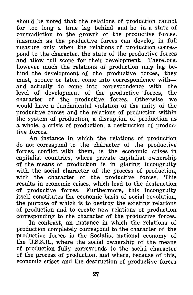**should be noted that the relations of production cannot for too long a time lag behind and be in a state of contradiction to the growth of the productive forces, inasmuch as the productive forces can develop in full measure only when the relations of production correspond to the character, the state of the productive forces and allow full scope for their development. Therefore, however much the relations of production may lag behind the development of the productive forces, they must, sooner or later, come into correspondence with and actually do come into correspondence with—the level of development of the productive forces, the** character of the productive forces. Otherwise **would have a fundamental violation of the unity of the productive forces and the relations of production within the system of production, a disruption of production as a whole, a crisis of production, a destruction of productive forces.**

**An instance in which the relations of production do not correspond to the character of the productive forces, conflict with them, is the economic crises in capitalist countries, where private capitalist ownership of the means of production is in glaring incongruity with the social character of the process of production, with the character of the productive forces. This results in economic crises, which lead to the destruction of productive forces. Furthermore, this incongruity itself constitutes the economic basis of social revolution, the purpose of which is to destroy the existing relations of production and to create new relations of production corresponding to the character of the productive forces.**

**In contrast, an instance in which the relations of production completely correspond to the character of the productive forces is the Socialist national economy of the U.S.S.R., where the social ownership of the means of production fully corresponds to the social character of the process of production, and where, because of this, economic crises and the destruction of productive forces**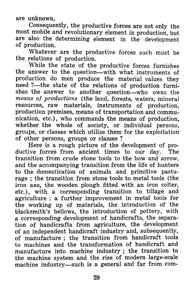**are unknown.**

**Consequently, the productive forces are not only the most mobile and revolutionary element in production, but are also the determining element in the development of production.**

**Whatever are the productive forces such must be the relations of production.**

**While the state of the productive forces furnishes the answer to the question—with what instruments of production do men produce the material values they need ?—the state of the relations of production furnishes the answer to another question—who owns the** *means of productions* **(the land, forests, waters, mineral resources, raw materials, instruments of production, production premises, means of transportation and communication, etc.), who commands the means of production, whether the whole of society, or individual persons, groups, or classes which utilize them for the exploitation of other persons, groups or classes ?**

**Here is a rough picture of the development of productive forces from ancient times to our day. The transition from crude stone tools to the bow and arrow, and the accompanying transition from the life of hunters to the domestication of animals and primitive pasturage ; the transition from stone tools to metal tools (the iron axe, the wooden plough fitted with an iron colter, etc.), with a corresponding transition to tillage and agriculture ; a further improvement in metal tools for the working up of materials, the introduction of the blacksmith's bellows, the introduction of pottery, with a corresponding development of handicrafts, the separation of handicrafts from agriculture, the development of an independent handicraft industry and, subsequently, of manufacture ; the transition from handicraft tools to machines and the transformation of handicraft and manufacture into machine industry ; the transition to the machine system and the rise of modern large-scale machine industry—such is a general and far from com-**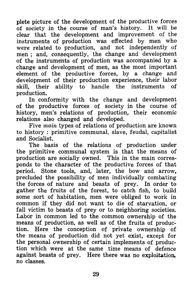**plete picture of the development of the productive forces of society in the course of man's history. It will be clear that the development and improvement of the instruments of production was effected by men who were related to production, and not independently of men ; and, consequently, the change and development of the instruments of production was accompanied by a change and development of men, as the most important element of the productive forces, by a change and development of their production experience, their labor** skill, their ability to handle the instruments **production.**

**In conformity with the change and development of the productive forces of society in the course of history, men's relations of production, their economic relations also changed and developed.**

**Five** *main* **types of relations of production are known to history : primitive communal, slave, feudal, capitalist and Socialist.**

**The basis of the relations of production under the primitive communal system is that the means of production are socially owned. This in the main corresponds to the character of the productive forces of that period. Stone tools, and, later, the bow and arrow, precluded the possibility of men individually combating the forces of nature and beasts of prey. In order to gather the fruits of the forest, to catch fish, to build some sort of habitation, men were obliged to work in common if they did not want to die of starvation, or fall victim to beasts of prey or to neighboring societies. Labor in common led to the common ownership of the means of production, as well as of the fruits of production. Here the conception of private ownership of the means of production did not yet exist, except for the personal ownership of certain implements of production which were at the same time means of defence against beasts of prey. Here there was no exploitation, no classes.**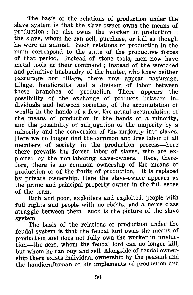**The basis of the relations of production under the slave system is that the slave-owner owns the means of production : he also owns the worker in production the slave, whom he can sell, purchase, or kill as though he were an animal. Such relations of production in the main correspond to the state of the productive forces of that period. Instead of stone tools, men now have metal tools at their command ; instead of the wretched and primitive husbandry of the hunter, who knew neither pasturage nor tillage, there now appear pasturage, tillage, handicrafts, and a division of labor between these branches of production. There appears the possibility of the exchange of products between individuals and between societies, of the accumulation of wealth in the hands of a few, the actual accumulation of the means of production in the hands of a minority, and the possibility of subjugation of the majority by a minority and the conversion of the majority into slaves. Here we no longer find the common and free labor of all members of society in the production process— here there prevails the forced labor of slaves, who are exploited by the non-laboring slave-owners. Here, therefore, there is no common ownership of the means of production or of the fruits of production. It is replaced by private ownership. Here the slave-owner appears as the prime and principal property owner in the full sense of the term.**

**Rich and poor, exploiters and exploited, people with full rights and people with no rights, and a fierce class struggle between them—such is the picture of the slave system.**

**The basis of the relations of production under the feudal system is that the feudal lord owns the means of production and does not fully own the worker in production—the serf, whom the feudal lord can no longer kill, but whom he can buy and sell. Alongside of feudal ownership there exists individual ownership by the peasant and the handicraftsman of his implements of production and**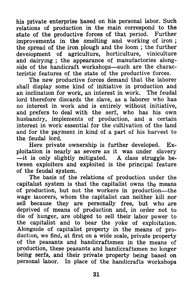**his private enterprise based on his personal labor. Such relations of production in the main correspond to the state of the productive forces of that period. Further improvements in the smelting and working of iron ; the spread of the iron plough and the loom ; the further development of agriculture, horticulture, viniculture and dairying ; the appearance of manufactories alongside of the handicraft workshops—such are the characteristic features of the state of the productive forces.**

**The new productive forces demand that the laborer shall display some kind of initiative in production and an inclination for work, an interest in work. The feudal lord therefore discards the slave, as a laborer who has no interest in work and is entirely without initiative, and prefers to deal with the serf, who has his own husbandry, implements of production, and a certain interest in work essential for the cultivation of the land and for the payment in kind of a part of his harvest to the feudal lord.**

**Here private ownership is further developed. Exploitation is nearly as severe as it was under slavery —it is only slightly mitigated. A class struggle between exploiters and exploited is the principal feature of the feudal system.**

**The basis of the relations of production under the capitalist system is that the capitalist owns the means of production, but not the workers in production—the wage laoorers, whom the capitalist can neither kill nor sell because they are personally free, but who are deprived of means of production and, in order not to die of hunger, are obliged to sell their labor power to the capitalist and to bear the yoke of exploitation. Alongside of capitalist property in the means of production, we find, at first on a wide scale, private property of the peasants and handicraftsmen in the means of production, these peasants and handicraftsmen no longer being serfs, and their private property being based on personal labor. In place of the handicrafts workshops**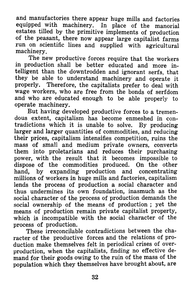**and manufactories there appear huge mills and factories equipped with machinery. In place of the manorial estates tilled by the primitive implements of production of the peasant, there now appear large capitalist farms run on scientific lines and supplied with agricultural machinery.**

**The new productive forces require that the workers in production shall be better educated and more intelligent than the downtrodden and ignorant serfs, that they be able to understand machinery and operate it properly. Therefore, the capitalists prefer to deal with wage workers, who are free from the bonds of serfdom and who are educated enough to be able properly to operate machinery.**

**But having developed productive forces to a tremendous extent, capitalism has become enmeshed in contradictions which it is unable to solve. By producing larger and larger quantities of commodities, and reducing their prices, capitalism intensifies competition, ruins the mass of small and medium private owners, converts them into proletarians and reduces their purchasing power, with the result that it becomes impossible to dispose of the commodities produced. On the other hand, by expanding production and concentrating millions of workers in huge mills and factories, capitalism lends the process of production a social character and thus undermines its own foundation, inasmuch as the social character of the process of production demands the social ownership of the means of production ; yet the means of production remain private capitalist property, which is incompatible with the social character of the process of production.**

**These irreconcilable contradictions between the character of the productive forces and the relations of production make themselves felt in periodical crises of overproduction, when the capitalists, finding no effective demand for their goods owing to the ruin of the mass of the population which they themselves have brought about, are**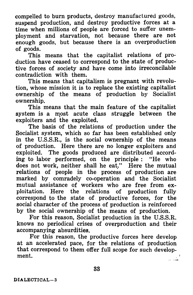**compelled to burn products, destroy manufactured goods, suspend production, and destroy productive forces at a time when millions of people are forced to suffer unemployment and starvation, not because there are not enough goods, but because there is an overproduction of goods.**

**This means that the capitalist relations of production have ceased to correspond to the state of productive forces of society and have come into irreconcilable contradiction with them.**

**This means that capitalism is pregnant with revolution, whose mission it is to replace the existing capitalist ownership of the means of production by Socialist ownership.**

**This means that the main feature of the capitalist system is a most acute class struggle between the exploiters and the exploited.**

**The basis of the relations of production under the Socialist system, which so far has been established only in the U.S.S.R., is the social ownership of the means of production. Here there are no longer exploiters and exploited. The goods produced are distributed according to labor performed, on the principle : "He who does not work, neither shall he eat." Here the mutual relations of people in the process of production are marked by comradely co-operation and the Socialist mutual assistance of workers who are free from exploitation. Here the relations of production fully correspond to the state of productive forces, for the social character of the process of production is reinforced by the social ownership of the means of production.**

**For this reason, Socialist production in the U.S.S.R. knows no periodical crises of overproduction and their accompanying absurdities.**

**For this reason, the productive forces here develop at an accelerated pace, for the relations of production that correspond to them offer full scope for such development.**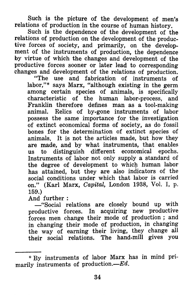**Such is the picture of the development of men's relations of production in the course of human history.**

**Such is the dependence of the development of the relations of production on the development of the productive forces of society, and primarily, on the development of the instruments of production, the dependence by virtue of which the changes and development of the productive forces sooner or later lead to corresponding changes and development of the relations of production.**

**"The use and fabrication of instruments of labor/'\* says Marx, "although existing in the germ among certain species of animals, is specifically characteristic of the human labor-process, and Franklin therefore defines man as a tool-making animal. Relics of by-gone instruments of labor possess the same importance for the investigation of extinct economical forms of society, as do fossil bones for the determination of extinct species of animals. It is not the articles made, but how they are made, and by what instruments, that enables us to distinguish different economical epochs. Instruments of labor not only supply a standard of the degree of development to which human labor has attained, but they are also indicators of the social conditions under which that labor is carried on." (Karl Marx,** *Capital,* **London 1938, Vol. I, p. 159.)**

**And further :**

**—"Social relations are closely bound up with productive forces. In acquiring new productive forces men change their mode of production ; and in changing their mode of production, in changing the way of earning their living, they change all their social relations. The hand-mill gives you**

**<sup>\*</sup> By instruments of labor Marx has in mind primarily instruments of production.—***Ed.*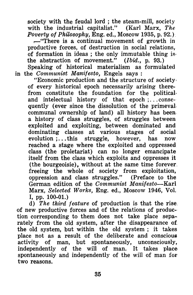**society with the feudal lord ; the steam-mill, society with the industrial capitalist." (Karl Marx,** *The Poverty of Philosophy,* **Eng. ed., Moscow 1935, p. 92.)**

**i—"There is a continual movement of growth in productive forces, of destruction in social relations, of formation in ideas ; the only immutable thing isthe abstraction of movement."** *(Ibid.,* **p. 93.) Speaking of historical materialism as formulated in the** *Communist Manifesto,* **Engels says :**

**"Economic production and the structure of society' of every historical epoch necessarily arising there**from constitute the foundation for the political **and intelectual history of that epoch ;. .. consequently (ever since the dissolution of the primeval communal ownership of land) all history has been a history of class struggles, of struggles between exploited and exploiting, between dominated and dominating classes at various stages of social** evolution :...this struggle, however, **reached a stage where the exploited and oppressed class (the proletariat) can no longer emancipate itself from the class which exploits and oppresses it (the bourgeoisie), without at the same time forever, freeing the whole of society from exploitation, oppression and class struggles." (Preface to the German edition of the** *Communist Manifesto***—Karl Marx,** *Selected Works,* **Eng. ed., Moscow 1946, Vol. I, pp. 100-01.)**

**d)** *The third feature* **of production is that the rise: of new productive forces and of the relations of production corresponding to them does not take place separately from the old system, after the disappearance of the old system, but within the old system ; it takes place not as a result of the deliberate and conscious activity of man, but spontaneously, unconsciously, independently of the will of man. It takes place spontaneously and independently of the will of man for two reasons.**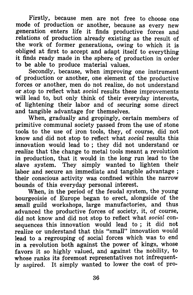**Firstly, because men are not free to choose one mode of production or another, because as every new generation enters life it finds productive forces and relations of production already existing as the result of the work of former generations, owing to which it is obliged at first to accept and adapt itself to everything it finds ready made in the sphere of production in order to be able to produce material values.**

**Secondly, because, when improving one instrument of production or another, one element of the productive forces or another, men do not realize, do not understand or ,stop to reflect what** *social* **results these improvements will lead to, but only think of their everyday interests, of lightening their labor and of securing some direct and tangible advantage for themselves.**

**When, gradually and gropingly, certain members of primitive communal society passed from the use of stone tools to the use of iron tools, they, of course, did not know and did not stop to reflect what** *social* **results this innovation would lead to ; they did not understand or realize that the change to metal tools meant a revolution in production, that it would in the long run lead to the slave system. They simply wanted to lighten their labor and secure an immediate and tangible advantage ; their conscious activity was confined within the narrow bounds of this everyday personal interest.**

**When, in the period of the feudal system, the young bourgeoisie of Europe began to erect, alongside of the small guild workshops, large manufactories, and thus advanced the productive forces of society, it, of course, did not know and did not stop to reflect what** *social* **consequences this innovation would lead to ; it did not realize or understand that this "small" innovation would lead to a regrouping of social forces which was to end in a revolution both against the power of kings, whose favors it so highly valued, and against the nobility, to whose ranks its foremost representatives not infrequently aspired. It simply wanted to lower the cost of pro-**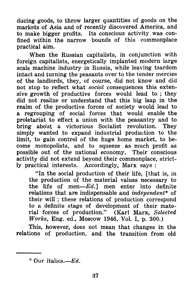**ducing goods, to throw larger quantities of goods on the markets of Asia and of recently discovered America, and to make bigger profits. Its conscious activity was confined within the narrow bounds of this commonplace practical aim.**

**When the Russian capitalists, in conjunction with foreign capitalists, energetically implanted modern large scale machine industry in Russia, while leaving tsardom intact and turning the peasants over to the tender mercies of the landlords, they, of course, did not know and did not stop to reflect what** *social* **consequences this extensive growth of productive forces would lead to ; they did not realize or understand that this big leap in the realm of the productive forces of society would lead to a regrouping of social forces that would enable the proletariat to effect a union with the peasantry and to bring about a victorious Socialist revolution. They simply wanted to expand industrial production to the limit, to gain control of the huge home market, to become monopolists, and to squeeze as much profit as possible out of the national economy. Their conscious activity did not extend beyond their commonplace, strictly practical interests. Accordingly, Marx says :**

**"In the social production of their life, [that is, in the production of the material values necessary to the life of men—***Ed***.] men enter into definite relations that are indispensable and** *independent***\* of their will ; these relations of production correspond to a definite stage of development of their material forces of production." (Karl Marx,** *Selected Works***, Eng. ed., Moscow 1946, Vol. I, p. 300.)**

**This, however, does not mean that changes in the relations of production, and the transition from old**

**<sup>\*</sup> Our italics.—***Ed.*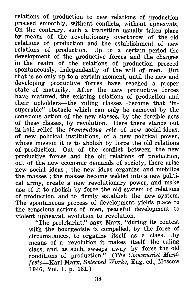**relations of production to new relations of production proceed smoothly, without conflicts, without upheavals. On the contrary, such a transition usually takes place by means of the revolutionary overthrow of the old relations of production and the establishment of new relations of production. Up to a certain period the development of the productive forces and the changes in the realm of the relations of production proceed spontaneously, independently of the will of men. But that is so only up to a certain moment, until the new and developing productive forces have reached a proper state of maturity. After the new productive forces have matured, the existing relations of production and their upholders—the ruling classes—become that "insuperable" obstacle which can only be removed by the conscious action of the new classes, by the forcible acts of these classes, by revolution. Here there stands out in bold relief the** *tremendous role* **of new social ideas, of new political institutions, of a new political power, whose mission it is to abolish by force the old relations of production. Out of the conflict between the new productive forces and the old relations of production, out of the new economic demands of society, there arise new social ideas ; the new ideas organize and mobilize the masses ; the masses become welded into a new political army, create a new revolutionary power, and make use of it to abolish by force the old system of relations of production, and to firmly establish the new system. The spontaneous process of development yields place to the conscious actions of men, peaceful development to violent upheaval, evolution to revolution.**

**"The proletariat," says Marx, "during its contest** with the bourgeoisie is compelled, by the force of **circumstances, to organize itself as a class. . . by means of a revolution it makes itself the ruling class, and, as such, sweeps away by force the old conditions of production."** *(The Communist Manifesto***— Karl Marx,** *Selected Works***, Eng. ed., Moscow 1946, Vol. I, p. 131.)**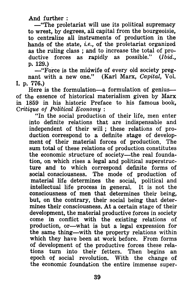**And further :**

**—"The proletariat will use its political supremacy to wrest, by degrees, all capital from the bourgeoisie, to centralize all instruments of production in the hands of the state,** *i.e.,* **of the proletariat organized as the ruling class ; and to increase the total of pro**ductive forces as rapidly as **p. 129.)**

**—"Force is the midwife of every old society pregnant with a new one." (Karl Marx,** *Capital,* **Vol. I. p. 776.)**

**Here is the formulation—a formulation of genius of the essence of historical materialism given by Marx in 1859 in his historic Preface to his famous book,** *Critique of Political Economy :*

**"In the social production of their life, men enter into definite relations that are indispensable and independent of their will ; these relations of production correspond to a definite stage of development of their material forces of production. The sum total of these relations of production constitutes the economic structure of society—the real foundation, on which rises a legal and political superstructure and to which correspond definite forms of social consciousness. The mode of production of material life determines the social, political and intellectual life process in general. It is not the consciousness of men that determines their being, but, on the contrary, their social being that determines their consciousness. At a certain stage of their development, the material productive forces in society come in conflict with the existing relations of production, or—what is but a legal expression for the same thing—with the property relations within which they have been at work before. From forms of development of the productive forces these relations turn into their fetters. Then begins an epoch of social revolution. With the change of the economic foundation the entire immense super-**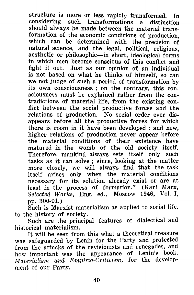**structure is more or less rapidly transformed. In** considering such transformations **should always be made between the material transformation of the economic conditions of production, which can be determined with the precision of natural science, and the legal, political, religious, aesthetic or philosophic—in short, ideological forms in which men become conscious of this conflict and fight it out. Just as our opinion of an individual is not based on what he thinks of himself, so can we not judge of such a period of transformation by its own consciousness ; on the contrary, this consciousness must be explained rather from the contradictions of material life, from the existing conflict between the social productive forces and the relations of production. No social order ever disappears before all the productive forces for which there is room in it have been developed ; and new, higher relations of production never appear before the material conditions of their existence have matured in the womb of the old society itself. Therefore, mankind always sets itself only such tasks as it can solve ; since, looking at the matter more closely, we will always find that the task itself arises only when the material conditions necessary for its solution already exist or are at least in the process of formation." (Karl Marx,** *Selected Works,* **Eng. ed., Moscow 1946, Vol. I, pp. 300-01.)**

**Such is Marxist materialism as applied to social life, to the history of society.**

**Such are the principal features of dialectical and historical materialism.**

**It will be seen from this what a theoretical treasure was safeguarded by Lenin for the Party and protected from the attacks of the revisionists and renegades, and how important was the appearance of Lenin's book,** *Materialism and Empirio-Criticism,* **for the development of our Party.**